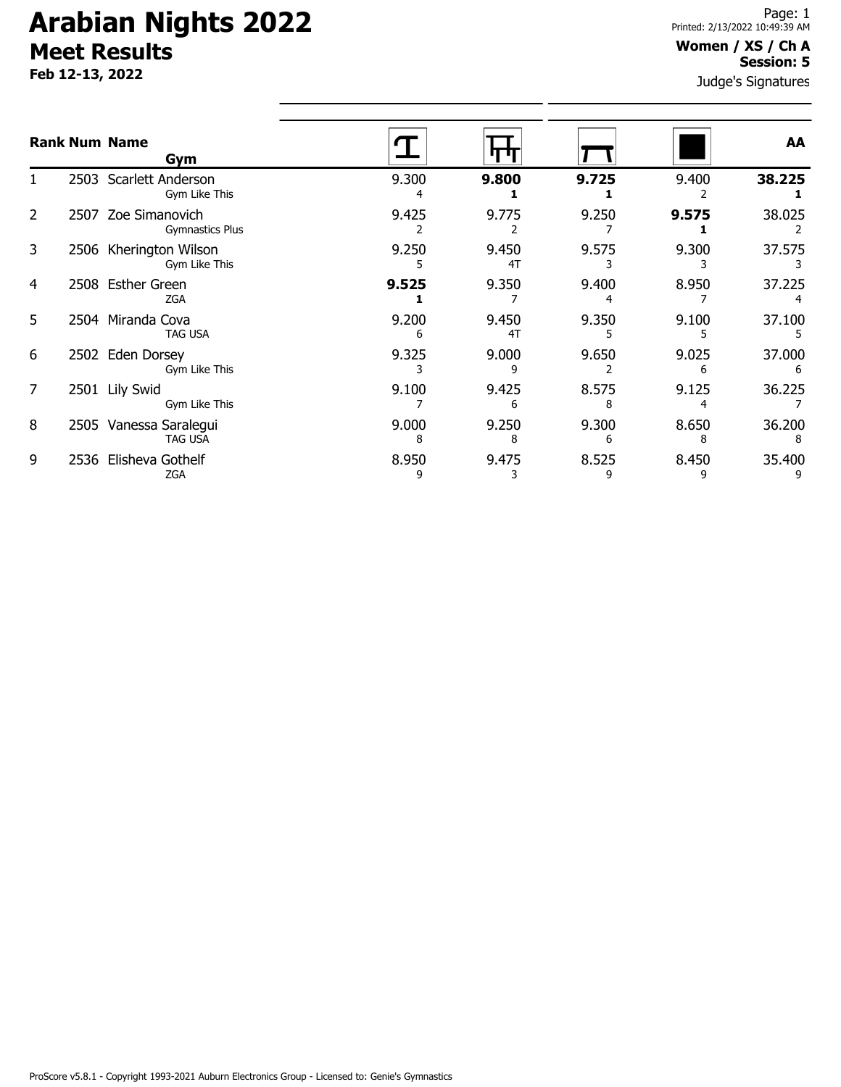**Feb 12-13, 2022**

#### Judge's Signatures **Women / XS / Ch A Session: 5**

|    |      | <b>Rank Num Name</b><br>Gym                   |            |             |       |       | AA     |
|----|------|-----------------------------------------------|------------|-------------|-------|-------|--------|
|    |      | 2503 Scarlett Anderson<br>Gym Like This       | 9.300<br>4 | 9.800       | 9.725 | 9.400 | 38.225 |
| 2  |      | 2507 Zoe Simanovich<br><b>Gymnastics Plus</b> | 9.425      | 9.775       | 9.250 | 9.575 | 38.025 |
| 3  |      | 2506 Kherington Wilson<br>Gym Like This       | 9.250      | 9.450<br>4T | 9.575 | 9.300 | 37.575 |
| 4  |      | 2508 Esther Green<br><b>ZGA</b>               | 9.525      | 9.350       | 9.400 | 8.950 | 37.225 |
| 5. |      | 2504 Miranda Cova<br><b>TAG USA</b>           | 9.200<br>6 | 9.450<br>4T | 9.350 | 9.100 | 37.100 |
| 6  |      | 2502 Eden Dorsey<br>Gym Like This             | 9.325      | 9.000       | 9.650 | 9.025 | 37.000 |
| 7  | 2501 | <b>Lily Swid</b><br>Gym Like This             | 9.100      | 9.425       | 8.575 | 9.125 | 36.225 |
| 8  |      | 2505 Vanessa Saralegui<br><b>TAG USA</b>      | 9.000      | 9.250       | 9.300 | 8.650 | 36.200 |
| 9  | 2536 | Elisheva Gothelf<br><b>ZGA</b>                | 8.950      | 9.475       | 8.525 | 8.450 | 35.400 |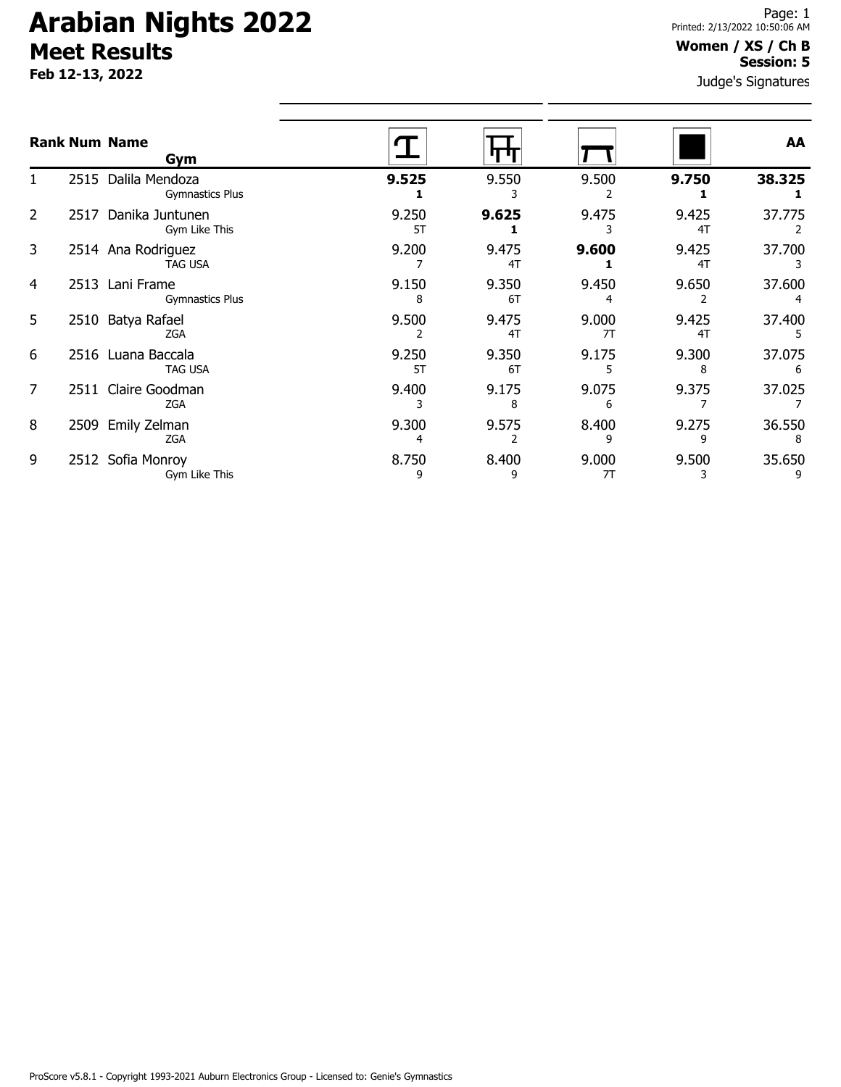**Feb 12-13, 2022**

### **Women / XS / Ch B Session: 5**

Judge's Signatures

|   |      | <b>Rank Num Name</b><br>Gym                   |             |             |             |             | AA          |
|---|------|-----------------------------------------------|-------------|-------------|-------------|-------------|-------------|
|   |      | 2515 Dalila Mendoza<br><b>Gymnastics Plus</b> | 9.525       | 9.550       | 9.500       | 9.750       | 38.325      |
| 2 | 2517 | Danika Juntunen<br>Gym Like This              | 9.250<br>5T | 9.625       | 9.475       | 9.425<br>4T | 37.775      |
| 3 |      | 2514 Ana Rodriguez<br><b>TAG USA</b>          | 9.200       | 9.475<br>4T | 9.600       | 9.425<br>4T | 37.700      |
| 4 |      | 2513 Lani Frame<br><b>Gymnastics Plus</b>     | 9.150<br>8  | 9.350<br>6T | 9.450       | 9.650       | 37.600      |
| 5 |      | 2510 Batya Rafael<br><b>ZGA</b>               | 9.500       | 9.475<br>4T | 9.000<br>7T | 9.425<br>4T | 37.400      |
| 6 |      | 2516 Luana Baccala<br><b>TAG USA</b>          | 9.250<br>5T | 9.350<br>6T | 9.175       | 9.300<br>8  | 37.075      |
| 7 |      | 2511 Claire Goodman<br><b>ZGA</b>             | 9.400       | 9.175<br>8  | 9.075<br>6  | 9.375       | 37.025      |
| 8 | 2509 | Emily Zelman<br><b>ZGA</b>                    | 9.300<br>4  | 9.575       | 8.400<br>9  | 9.275<br>9  | 36.550<br>8 |
| 9 |      | 2512 Sofia Monroy<br>Gym Like This            | 8.750<br>9  | 8.400<br>9  | 9.000<br>7T | 9.500<br>3  | 35.650      |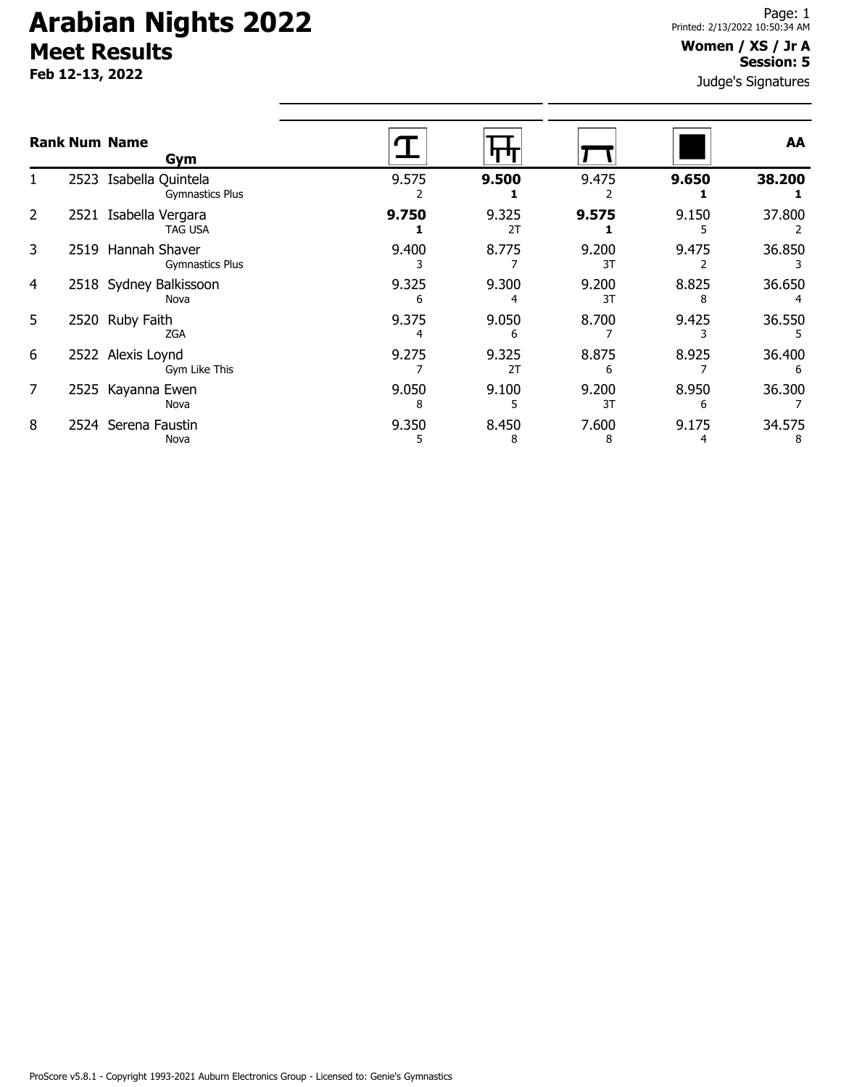**Feb 12-13, 2022**

#### **Women / XS / Jr A Session: 5**

Judge's Signatures

|   | <b>Rank Num Name</b><br>Gym                      |            |             |             |            | AA          |
|---|--------------------------------------------------|------------|-------------|-------------|------------|-------------|
|   | 2523 Isabella Quintela<br><b>Gymnastics Plus</b> | 9.575      | 9.500       | 9.475       | 9.650      | 38.200      |
| 2 | 2521 Isabella Vergara<br><b>TAG USA</b>          | 9.750      | 9.325<br>2T | 9.575       | 9.150      | 37.800      |
| 3 | 2519 Hannah Shaver<br>Gymnastics Plus            | 9.400      | 8.775       | 9.200<br>3T | 9.475      | 36.850      |
| 4 | 2518 Sydney Balkissoon<br>Nova                   | 9.325<br>h | 9.300       | 9.200<br>3T | 8.825      | 36.650      |
| 5 | 2520 Ruby Faith<br><b>ZGA</b>                    | 9.375      | 9.050<br>6  | 8.700       | 9.425      | 36.550      |
| 6 | 2522 Alexis Loynd<br>Gym Like This               | 9.275      | 9.325<br>2T | 8.875<br>6  | 8.925      | 36.400      |
| 7 | 2525 Kayanna Ewen<br>Nova                        | 9.050<br>8 | 9.100       | 9.200<br>3T | 8.950<br>6 | 36.300      |
| 8 | 2524 Serena Faustin<br>Nova                      | 9.350      | 8.450<br>8  | 7.600<br>8  | 9.175      | 34.575<br>8 |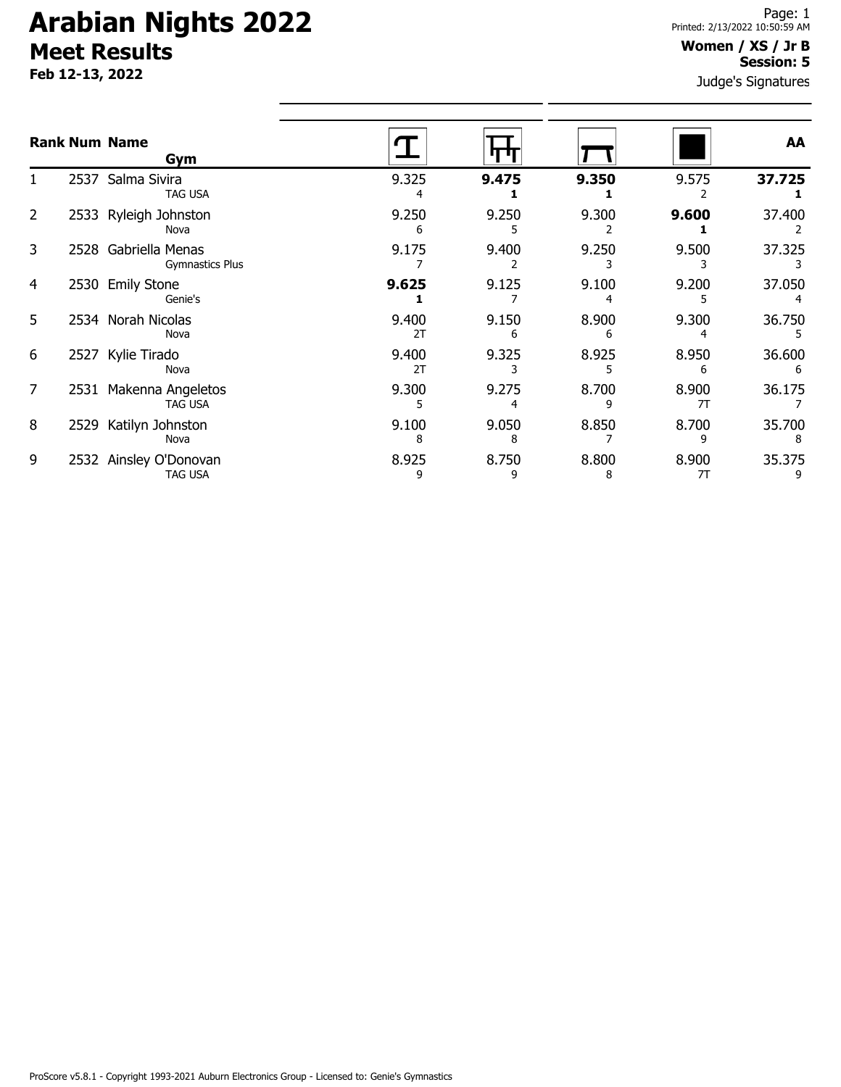**Feb 12-13, 2022**

### **Women / XS / Jr B Session: 5**

Judge's Signatures

| <b>Rank Num Name</b> |      | Gym                                            |             |            |            |             | AA          |
|----------------------|------|------------------------------------------------|-------------|------------|------------|-------------|-------------|
|                      |      | 2537 Salma Sivira<br>TAG USA                   | 9.325<br>4  | 9.475      | 9.350      | 9.575       | 37.725      |
| $\overline{2}$       | 2533 | Ryleigh Johnston<br>Nova                       | 9.250<br>6  | 9.250      | 9.300      | 9.600       | 37.400      |
| 3                    |      | 2528 Gabriella Menas<br><b>Gymnastics Plus</b> | 9.175       | 9.400      | 9.250      | 9.500       | 37.325      |
| 4                    |      | 2530 Emily Stone<br>Genie's                    | 9.625       | 9.125      | 9.100      | 9.200       | 37.050      |
| 5                    |      | 2534 Norah Nicolas<br>Nova                     | 9.400<br>2T | 9.150<br>6 | 8.900<br>6 | 9.300       | 36.750      |
| 6                    | 2527 | Kylie Tirado<br>Nova                           | 9.400<br>2T | 9.325      | 8.925      | 8.950<br>6  | 36.600<br>6 |
| 7                    | 2531 | Makenna Angeletos<br><b>TAG USA</b>            | 9.300       | 9.275      | 8.700      | 8.900<br>7T | 36.175      |
| 8                    | 2529 | Katilyn Johnston<br>Nova                       | 9.100<br>8  | 9.050<br>8 | 8.850      | 8.700<br>q  | 35.700      |
| 9                    | 2532 | Ainsley O'Donovan<br>TAG USA                   | 8.925<br>9  | 8.750<br>9 | 8.800<br>8 | 8.900<br>7T | 35.375      |